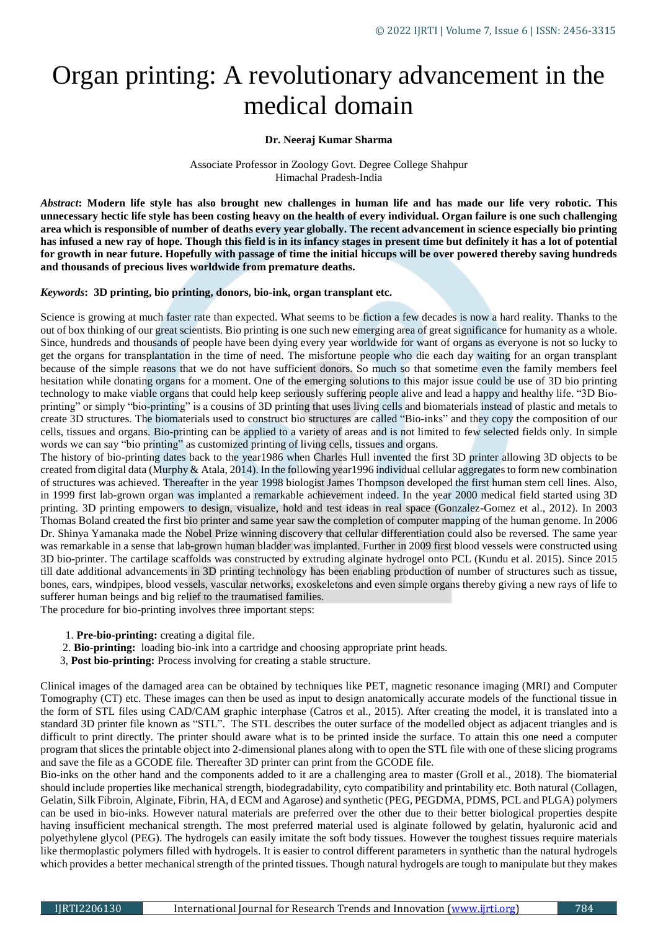# Organ printing: A revolutionary advancement in the medical domain

## **Dr. Neeraj Kumar Sharma**

Associate Professor in Zoology Govt. Degree College Shahpur Himachal Pradesh-India

*Abstract***: Modern life style has also brought new challenges in human life and has made our life very robotic. This unnecessary hectic life style has been costing heavy on the health of every individual. Organ failure is one such challenging area which is responsible of number of deaths every year globally. The recent advancement in science especially bio printing has infused a new ray of hope. Though this field is in its infancy stages in present time but definitely it has a lot of potential for growth in near future. Hopefully with passage of time the initial hiccups will be over powered thereby saving hundreds and thousands of precious lives worldwide from premature deaths.**

## *Keywords***: 3D printing, bio printing, donors, bio-ink, organ transplant etc.**

Science is growing at much faster rate than expected. What seems to be fiction a few decades is now a hard reality. Thanks to the out of box thinking of our great scientists. Bio printing is one such new emerging area of great significance for humanity as a whole. Since, hundreds and thousands of people have been dying every year worldwide for want of organs as everyone is not so lucky to get the organs for transplantation in the time of need. The misfortune people who die each day waiting for an organ transplant because of the simple reasons that we do not have sufficient donors. So much so that sometime even the family members feel hesitation while donating organs for a moment. One of the emerging solutions to this major issue could be use of 3D bio printing technology to make viable organs that could help keep seriously suffering people alive and lead a happy and healthy life. "3D Bioprinting" or simply "bio-printing" is a cousins of 3D printing that uses living cells and biomaterials instead of plastic and metals to create 3D structures. The biomaterials used to construct bio structures are called "Bio-inks" and they copy the composition of our cells, tissues and organs. Bio-printing can be applied to a variety of areas and is not limited to few selected fields only. In simple words we can say "bio printing" as customized printing of living cells, tissues and organs.

The history of bio-printing dates back to the year1986 when Charles Hull invented the first 3D printer allowing 3D objects to be created from digital data (Murphy & Atala, 2014). In the following year1996 individual cellular aggregates to form new combination of structures was achieved. Thereafter in the year 1998 biologist James Thompson developed the first human stem cell lines. Also, in 1999 first lab-grown organ was implanted a remarkable achievement indeed. In the year 2000 medical field started using 3D printing. 3D printing empowers to design, visualize, hold and test ideas in real space (Gonzalez-Gomez et al., 2012). In 2003 Thomas Boland created the first bio printer and same year saw the completion of computer mapping of the human genome. In 2006 Dr. Shinya Yamanaka made the Nobel Prize winning discovery that cellular differentiation could also be reversed. The same year was remarkable in a sense that lab-grown human bladder was implanted. Further in 2009 first blood vessels were constructed using 3D bio-printer. The cartilage scaffolds was constructed by extruding alginate hydrogel onto PCL (Kundu et al. 2015). Since 2015 till date additional advancements in 3D printing technology has been enabling production of number of structures such as tissue, bones, ears, windpipes, blood vessels, vascular networks, exoskeletons and even simple organs thereby giving a new rays of life to sufferer human beings and big relief to the traumatised families.

The procedure for bio-printing involves three important steps:

- 1. **Pre-bio-printing:** creating a digital file.
- 2. **Bio-printing:** loading bio-ink into a cartridge and choosing appropriate print heads.
- 3, **Post bio-printing:** Process involving for creating a stable structure.

Clinical images of the damaged area can be obtained by techniques like PET, magnetic resonance imaging (MRI) and Computer Tomography (CT) etc. These images can then be used as input to design anatomically accurate models of the functional tissue in the form of STL files using CAD/CAM graphic interphase [\(Catros et al., 2015\)](https://www.frontiersin.org/articles/10.3389/fmech.2020.589171/full#B23). After creating the model, it is translated into a standard 3D printer file known as "STL". The STL describes the outer surface of the modelled object as adjacent triangles and is difficult to print directly. The printer should aware what is to be printed inside the surface. To attain this one need a computer program that slices the printable object into 2-dimensional planes along with to open the STL file with one of these slicing programs and save the file as a GCODE file. Thereafter 3D printer can print from the GCODE file.

Bio-inks on the other hand and the components added to it are a challenging area to master (Groll et al., 2018). The biomaterial should include properties like mechanical strength, biodegradability, cyto compatibility and printability etc. Both natural (Collagen, Gelatin, Silk Fibroin, Alginate, Fibrin, HA, d ECM and Agarose) and synthetic (PEG, PEGDMA, PDMS, PCL and PLGA) polymers can be used in bio-inks. However natural materials are preferred over the other due to their better biological properties despite having insufficient mechanical strength. The most preferred material used is alginate followed by gelatin, hyaluronic acid and polyethylene glycol (PEG). The hydrogels can easily imitate the soft body tissues. However the toughest tissues require materials like thermoplastic polymers filled with hydrogels. It is easier to control different parameters in synthetic than the natural hydrogels which provides a better mechanical strength of the printed tissues. Though natural hydrogels are tough to manipulate but they makes